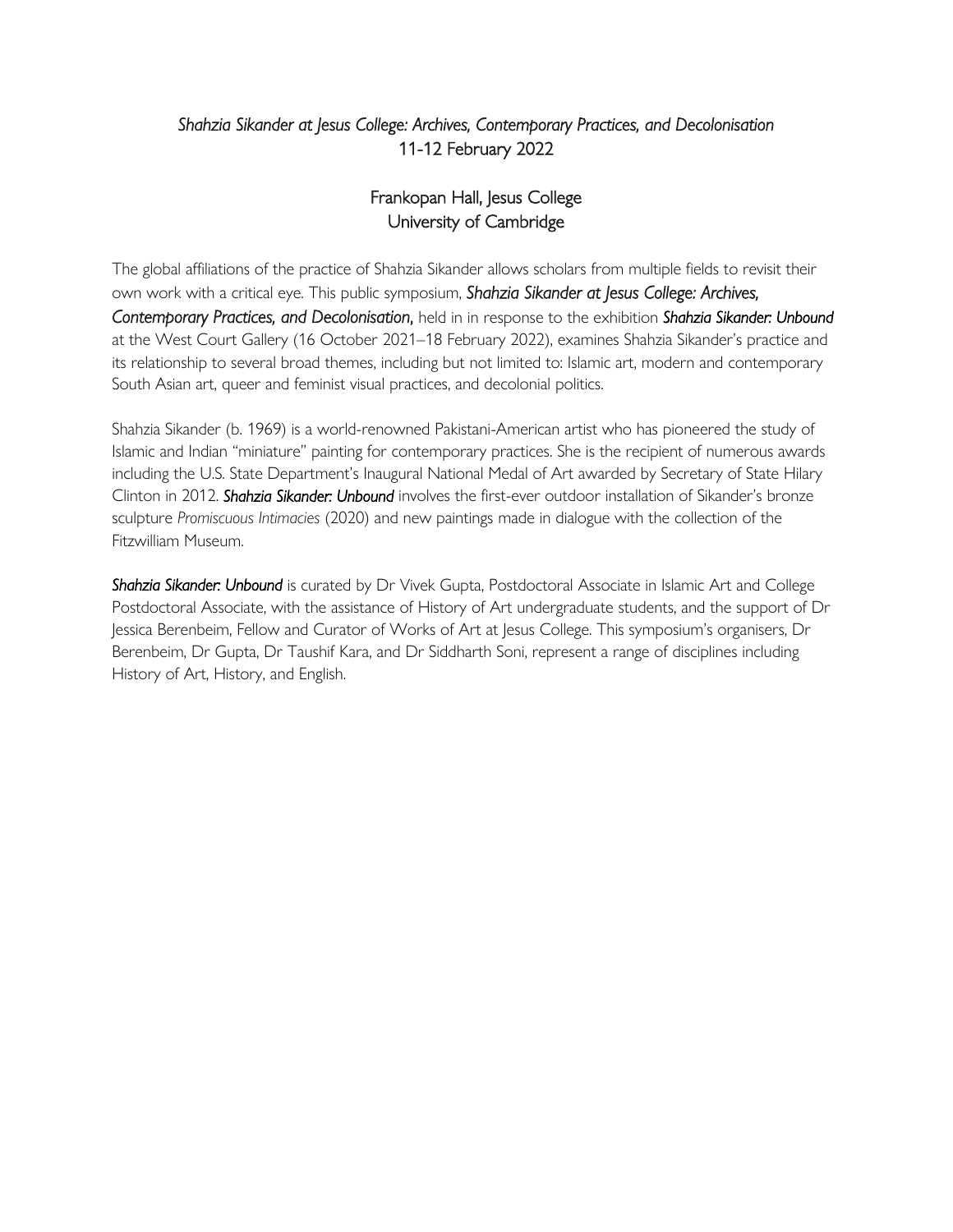## *Shahzia Sikander at Jesus College: Archives, Contemporary Practices, and Decolonisation*  11-12 February 2022

# Frankopan Hall, Jesus College University of Cambridge

The global affiliations of the practice of Shahzia Sikander allows scholars from multiple fields to revisit their own work with a critical eye. This public symposium, *Shahzia Sikander at Jesus College: Archives, Contemporary Practices, and Decolonisation*,held in in response to the exhibition *Shahzia Sikander: Unbound* at the West Court Gallery (16 October 2021–18 February 2022), examines Shahzia Sikander's practice and its relationship to several broad themes, including but not limited to: Islamic art, modern and contemporary South Asian art, queer and feminist visual practices, and decolonial politics.

Shahzia Sikander (b. 1969) is a world-renowned Pakistani-American artist who has pioneered the study of Islamic and Indian "miniature" painting for contemporary practices. She is the recipient of numerous awards including the U.S. State Department's Inaugural National Medal of Art awarded by Secretary of State Hilary Clinton in 2012. *Shahzia Sikander: Unbound* involves the first-ever outdoor installation of Sikander's bronze sculpture *Promiscuous Intimacies* (2020) and new paintings made in dialogue with the collection of the Fitzwilliam Museum.

*Shahzia Sikander: Unbound* is curated by Dr Vivek Gupta, Postdoctoral Associate in Islamic Art and College Postdoctoral Associate, with the assistance of History of Art undergraduate students, and the support of Dr Jessica Berenbeim, Fellow and Curator of Works of Art at Jesus College. This symposium's organisers, Dr Berenbeim, Dr Gupta, Dr Taushif Kara, and Dr Siddharth Soni, represent a range of disciplines including History of Art, History, and English.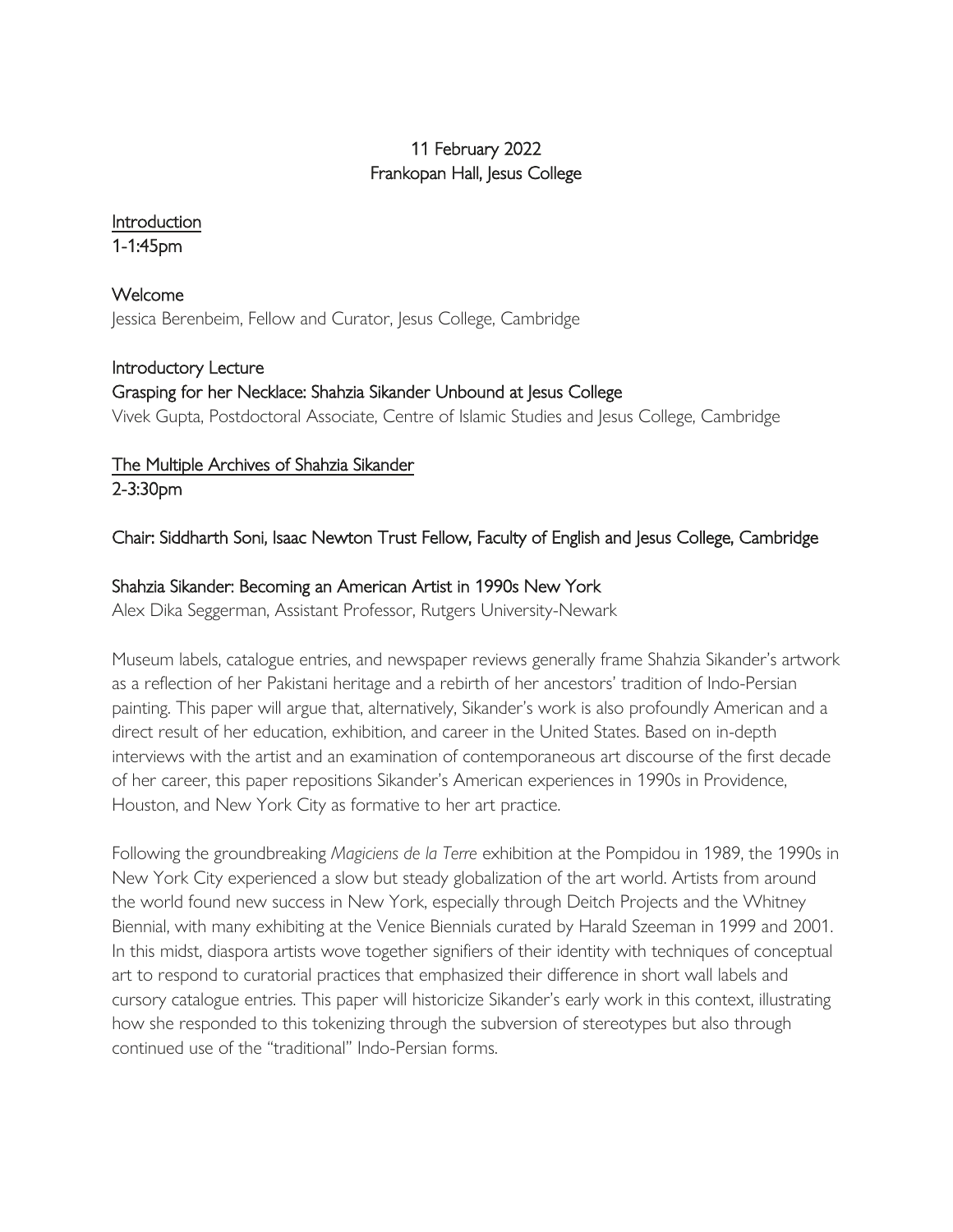# 11 February 2022 Frankopan Hall, Jesus College

# Introduction

1-1:45pm

Welcome Jessica Berenbeim, Fellow and Curator, Jesus College, Cambridge

## Introductory Lecture

# Grasping for her Necklace: Shahzia Sikander Unboundat Jesus College

Vivek Gupta, Postdoctoral Associate, Centre of Islamic Studies and Jesus College, Cambridge

#### The Multiple Archives of Shahzia Sikander 2-3:30pm

# Chair: Siddharth Soni, Isaac Newton Trust Fellow, Faculty of English and Jesus College, Cambridge

# Shahzia Sikander: Becoming an American Artist in 1990s New York

Alex Dika Seggerman, Assistant Professor, Rutgers University-Newark

Museum labels, catalogue entries, and newspaper reviews generally frame Shahzia Sikander's artwork as a reflection of her Pakistani heritage and a rebirth of her ancestors' tradition of Indo-Persian painting. This paper will argue that, alternatively, Sikander's work is also profoundly American and a direct result of her education, exhibition, and career in the United States. Based on in-depth interviews with the artist and an examination of contemporaneous art discourse of the first decade of her career, this paper repositions Sikander's American experiences in 1990s in Providence, Houston, and New York City as formative to her art practice.

Following the groundbreaking *Magiciens de la Terre* exhibition at the Pompidou in 1989, the 1990s in New York City experienced a slow but steady globalization of the art world. Artists from around the world found new success in New York, especially through Deitch Projects and the Whitney Biennial, with many exhibiting at the Venice Biennials curated by Harald Szeeman in 1999 and 2001. In this midst, diaspora artists wove together signifiers of their identity with techniques of conceptual art to respond to curatorial practices that emphasized their difference in short wall labels and cursory catalogue entries. This paper will historicize Sikander's early work in this context, illustrating how she responded to this tokenizing through the subversion of stereotypes but also through continued use of the "traditional" Indo-Persian forms.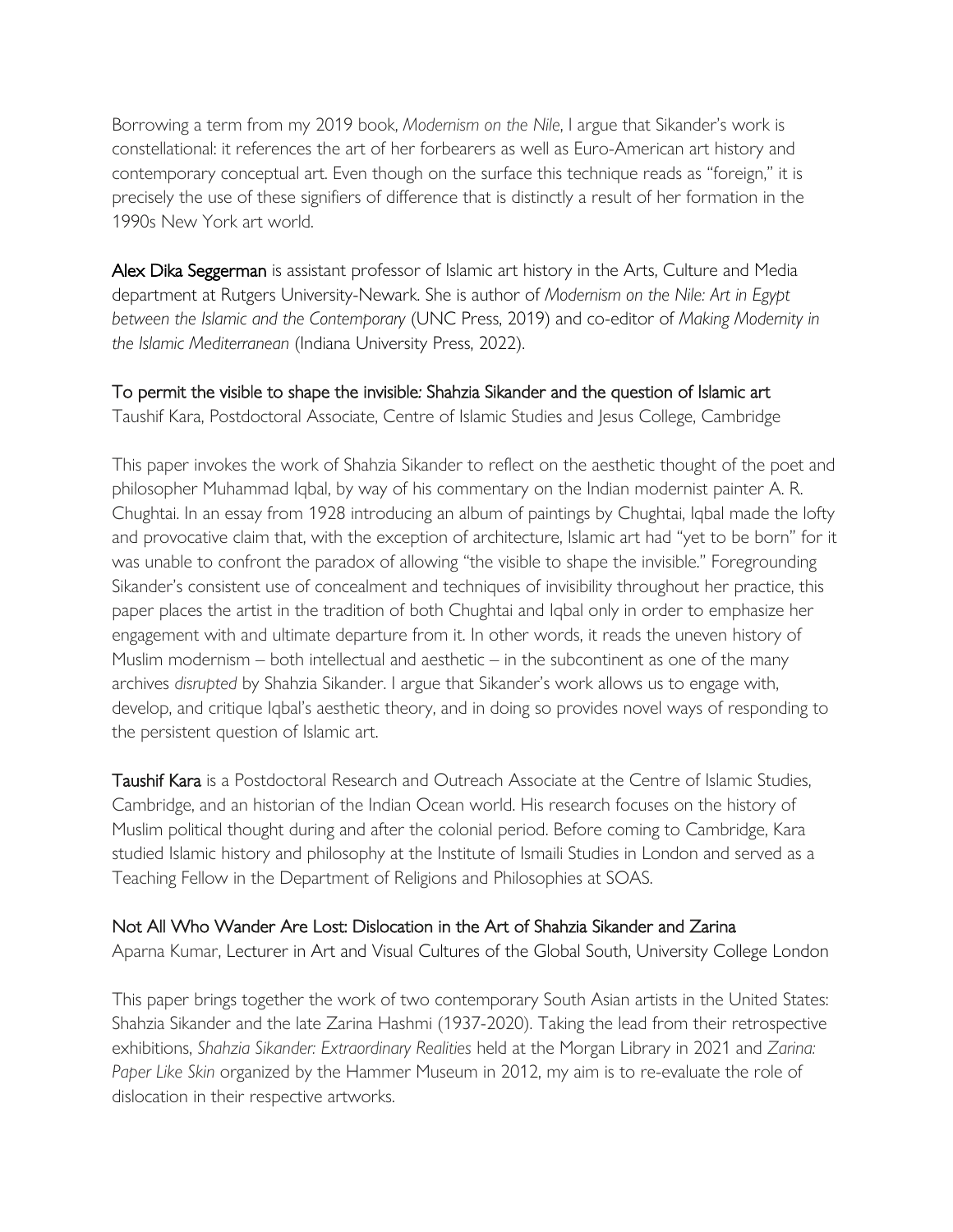Borrowing a term from my 2019 book, *Modernism on the Nile*, I argue that Sikander's work is constellational: it references the art of her forbearers as well as Euro-American art history and contemporary conceptual art. Even though on the surface this technique reads as "foreign," it is precisely the use of these signifiers of difference that is distinctly a result of her formation in the 1990s New York art world.

Alex Dika Seggerman is assistant professor of Islamic art history in the Arts, Culture and Media department at Rutgers University-Newark. She is author of *Modernism on the Nile: Art in Egypt between the Islamic and the Contemporary* (UNC Press, 2019) and co-editor of *Making Modernity in the Islamic Mediterranean* (Indiana University Press, 2022).

# To permit the visible to shape the invisible*:* Shahzia Sikander and the question of Islamic art

Taushif Kara, Postdoctoral Associate, Centre of Islamic Studies and Jesus College, Cambridge

This paper invokes the work of Shahzia Sikander to reflect on the aesthetic thought of the poet and philosopher Muhammad Iqbal, by way of his commentary on the Indian modernist painter A. R. Chughtai. In an essay from 1928 introducing an album of paintings by Chughtai, Iqbal made the lofty and provocative claim that, with the exception of architecture, Islamic art had "yet to be born" for it was unable to confront the paradox of allowing "the visible to shape the invisible." Foregrounding Sikander's consistent use of concealment and techniques of invisibility throughout her practice, this paper places the artist in the tradition of both Chughtai and Iqbal only in order to emphasize her engagement with and ultimate departure from it. In other words, it reads the uneven history of Muslim modernism  $-$  both intellectual and aesthetic  $-$  in the subcontinent as one of the many archives *disrupted* by Shahzia Sikander. I argue that Sikander's work allows us to engage with, develop, and critique Iqbal's aesthetic theory, and in doing so provides novel ways of responding to the persistent question of Islamic art.

Taushif Kara is a Postdoctoral Research and Outreach Associate at the Centre of Islamic Studies, Cambridge, and an historian of the Indian Ocean world. His research focuses on the history of Muslim political thought during and after the colonial period. Before coming to Cambridge, Kara studied Islamic history and philosophy at the Institute of Ismaili Studies in London and served as a Teaching Fellow in the Department of Religions and Philosophies at SOAS.

#### Not All Who Wander Are Lost: Dislocation in the Art of Shahzia Sikander and Zarina

Aparna Kumar, Lecturer in Art and Visual Cultures of the Global South, University College London

This paper brings together the work of two contemporary South Asian artists in the United States: Shahzia Sikander and the late Zarina Hashmi (1937-2020). Taking the lead from their retrospective exhibitions, *Shahzia Sikander: Extraordinary Realities* held at the Morgan Library in 2021 and *Zarina: Paper Like Skin* organized by the Hammer Museum in 2012, my aim is to re-evaluate the role of dislocation in their respective artworks.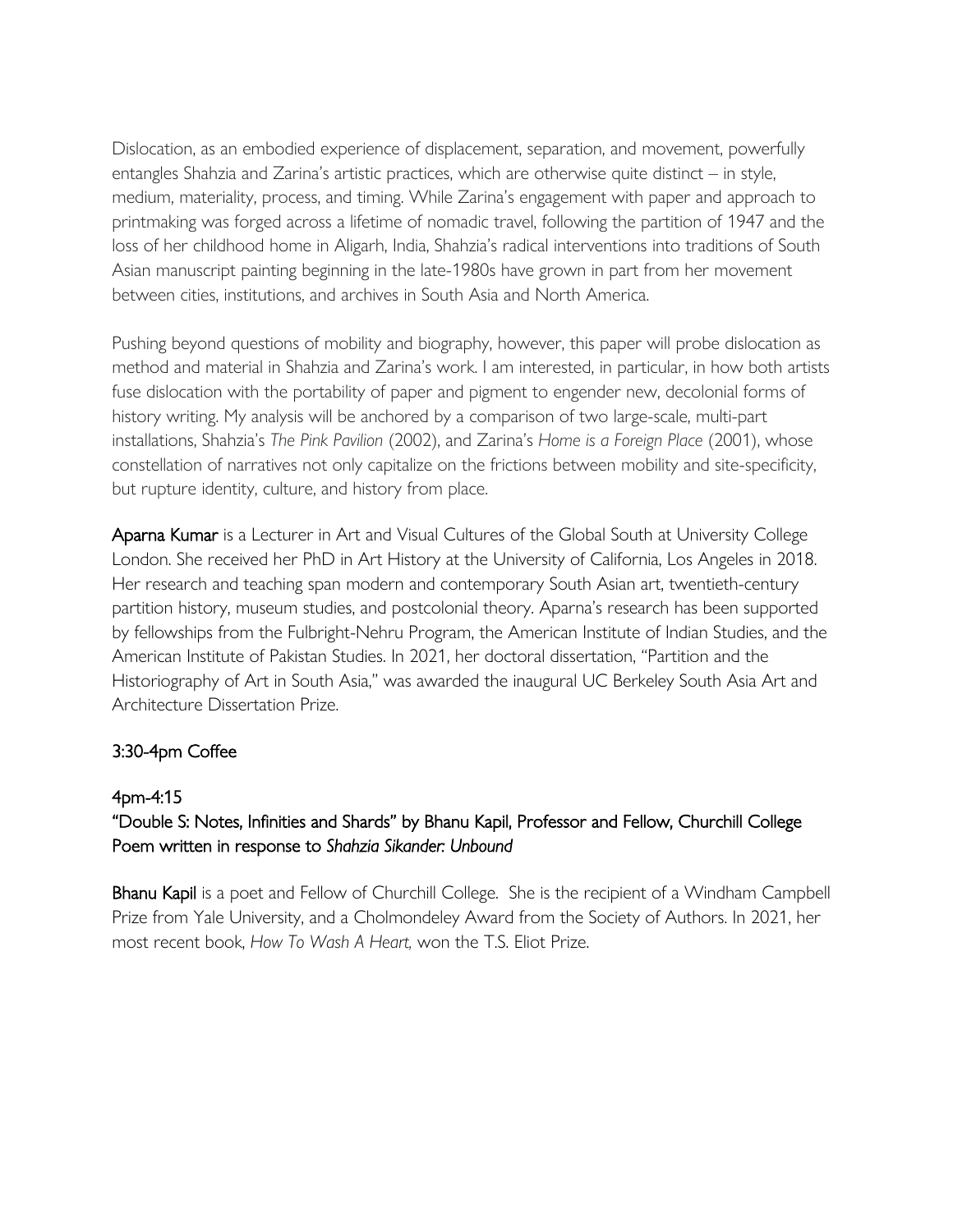Dislocation, as an embodied experience of displacement, separation, and movement, powerfully entangles Shahzia and Zarina's artistic practices, which are otherwise quite distinct – in style, medium, materiality, process, and timing. While Zarina's engagement with paper and approach to printmaking was forged across a lifetime of nomadic travel, following the partition of 1947 and the loss of her childhood home in Aligarh, India, Shahzia's radical interventions into traditions of South Asian manuscript painting beginning in the late-1980s have grown in part from her movement between cities, institutions, and archives in South Asia and North America.

Pushing beyond questions of mobility and biography, however, this paper will probe dislocation as method and material in Shahzia and Zarina's work. I am interested, in particular, in how both artists fuse dislocation with the portability of paper and pigment to engender new, decolonial forms of history writing. My analysis will be anchored by a comparison of two large-scale, multi-part installations, Shahzia's *The Pink Pavilion* (2002), and Zarina's *Home is a Foreign Place* (2001), whose constellation of narratives not only capitalize on the frictions between mobility and site-specificity, but rupture identity, culture, and history from place.

Aparna Kumar is a Lecturer in Art and Visual Cultures of the Global South at University College London. She received her PhD in Art History at the University of California, Los Angeles in 2018. Her research and teaching span modern and contemporary South Asian art, twentieth-century partition history, museum studies, and postcolonial theory. Aparna's research has been supported by fellowships from the Fulbright-Nehru Program, the American Institute of Indian Studies, and the American Institute of Pakistan Studies. In 2021, her doctoral dissertation, "Partition and the Historiography of Art in South Asia," was awarded the inaugural UC Berkeley South Asia Art and Architecture Dissertation Prize.

#### 3:30-4pm Coffee

#### 4pm-4:15

## "Double S: Notes, Infinities and Shards" by Bhanu Kapil, Professor and Fellow, Churchill College Poem written in response to *Shahzia Sikander: Unbound*

Bhanu Kapil is a poet and Fellow of Churchill College. She is the recipient of a Windham Campbell Prize from Yale University, and a Cholmondeley Award from the Society of Authors. In 2021, her most recent book, *How To Wash A Heart,* won the T.S. Eliot Prize.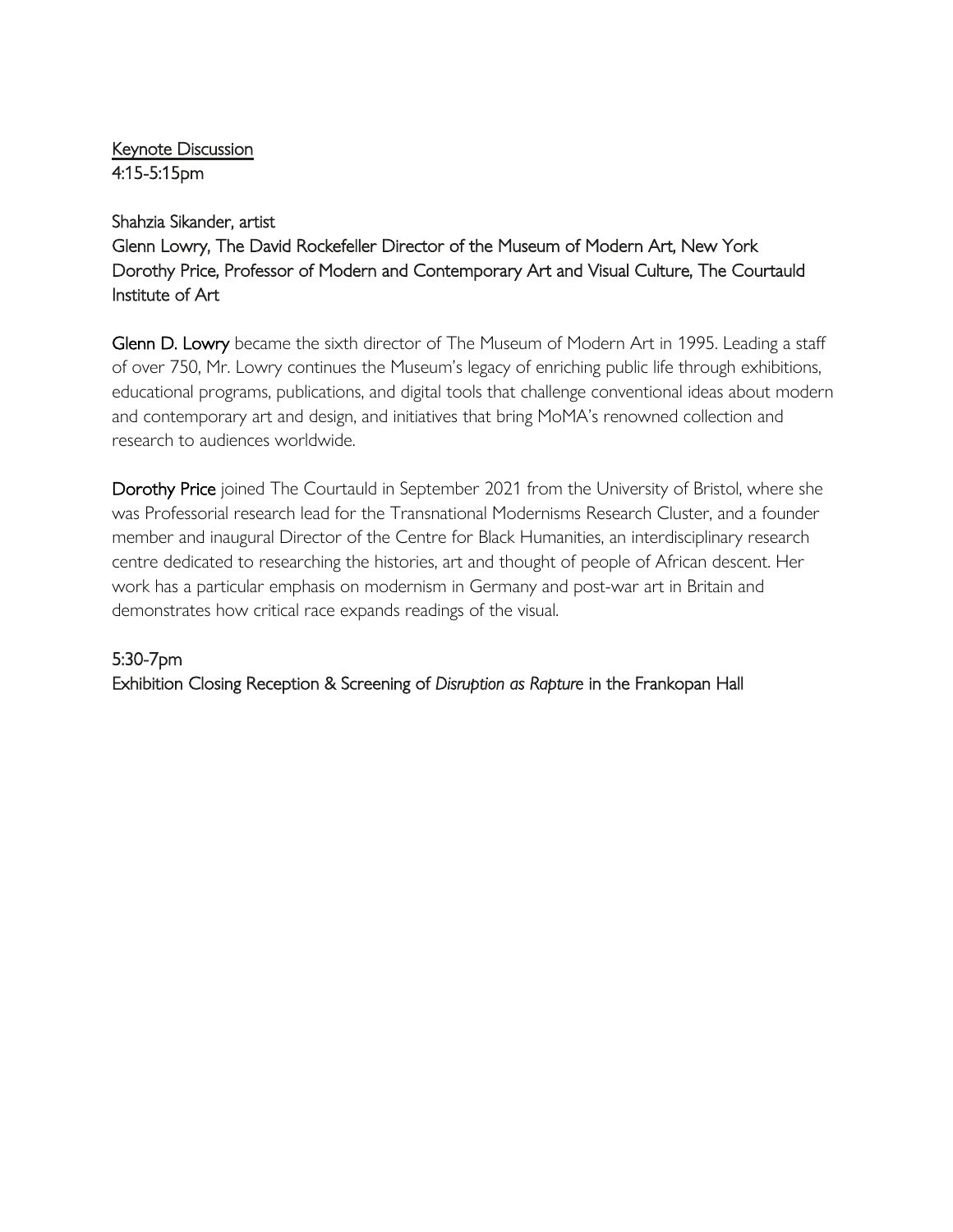## Keynote Discussion 4:15-5:15pm

#### Shahzia Sikander, artist

Glenn Lowry, The David Rockefeller Director of the Museum of Modern Art, New York Dorothy Price, Professor of Modern and Contemporary Art and Visual Culture, The Courtauld Institute of Art

Glenn D. Lowry became the sixth director of The Museum of Modern Art in 1995. Leading a staff of over 750, Mr. Lowry continues the Museum's legacy of enriching public life through exhibitions, educational programs, publications, and digital tools that challenge conventional ideas about modern and contemporary art and design, and initiatives that bring MoMA's renowned collection and research to audiences worldwide.

Dorothy Price joined The Courtauld in September 2021 from the University of Bristol, where she was Professorial research lead for the Transnational Modernisms Research Cluster, and a founder member and inaugural Director of the Centre for Black Humanities, an interdisciplinary research centre dedicated to researching the histories, art and thought of people of African descent. Her work has a particular emphasis on modernism in Germany and post-war art in Britain and demonstrates how critical race expands readings of the visual.

## 5:30-7pm

Exhibition Closing Reception & Screening of *Disruption as Rapture* in the Frankopan Hall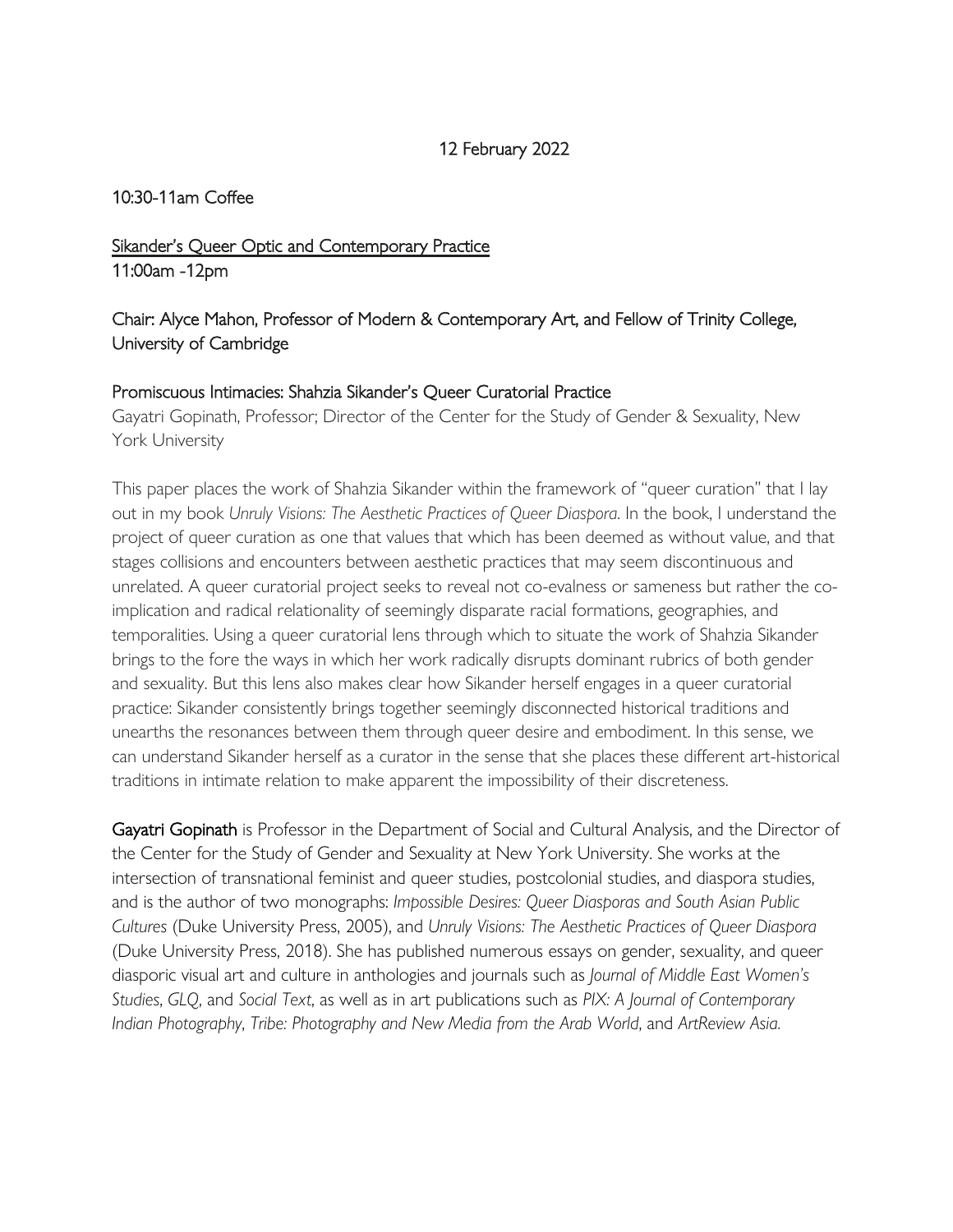#### 12 February 2022

#### 10:30-11am Coffee

# Sikander's Queer Optic and Contemporary Practice 11:00am -12pm

# Chair: Alyce Mahon, Professor of Modern & Contemporary Art, and Fellow of Trinity College, University of Cambridge

#### Promiscuous Intimacies: Shahzia Sikander's Queer Curatorial Practice

Gayatri Gopinath, Professor; Director of the Center for the Study of Gender & Sexuality, New York University

This paper places the work of Shahzia Sikander within the framework of "queer curation" that I lay out in my book *Unruly Visions: The Aesthetic Practices of Queer Diaspora*. In the book, I understand the project of queer curation as one that values that which has been deemed as without value, and that stages collisions and encounters between aesthetic practices that may seem discontinuous and unrelated. A queer curatorial project seeks to reveal not co-evalness or sameness but rather the coimplication and radical relationality of seemingly disparate racial formations, geographies, and temporalities. Using a queer curatorial lens through which to situate the work of Shahzia Sikander brings to the fore the ways in which her work radically disrupts dominant rubrics of both gender and sexuality. But this lens also makes clear how Sikander herself engages in a queer curatorial practice: Sikander consistently brings together seemingly disconnected historical traditions and unearths the resonances between them through queer desire and embodiment. In this sense, we can understand Sikander herself as a curator in the sense that she places these different art-historical traditions in intimate relation to make apparent the impossibility of their discreteness.

Gayatri Gopinath is Professor in the Department of Social and Cultural Analysis, and the Director of the Center for the Study of Gender and Sexuality at New York University. She works at the intersection of transnational feminist and queer studies, postcolonial studies, and diaspora studies, and is the author of two monographs: *Impossible Desires: Queer Diasporas and South Asian Public Cultures* (Duke University Press, 2005), and *Unruly Visions: The Aesthetic Practices of Queer Diaspora* (Duke University Press, 2018). She has published numerous essays on gender, sexuality, and queer diasporic visual art and culture in anthologies and journals such as *Journal of Middle East Women's Studies*, *GLQ*, and *Social Text*, as well as in art publications such as *PIX: A Journal of Contemporary Indian Photography*, *Tribe: Photography and New Media from the Arab World*, and *ArtReview Asia.*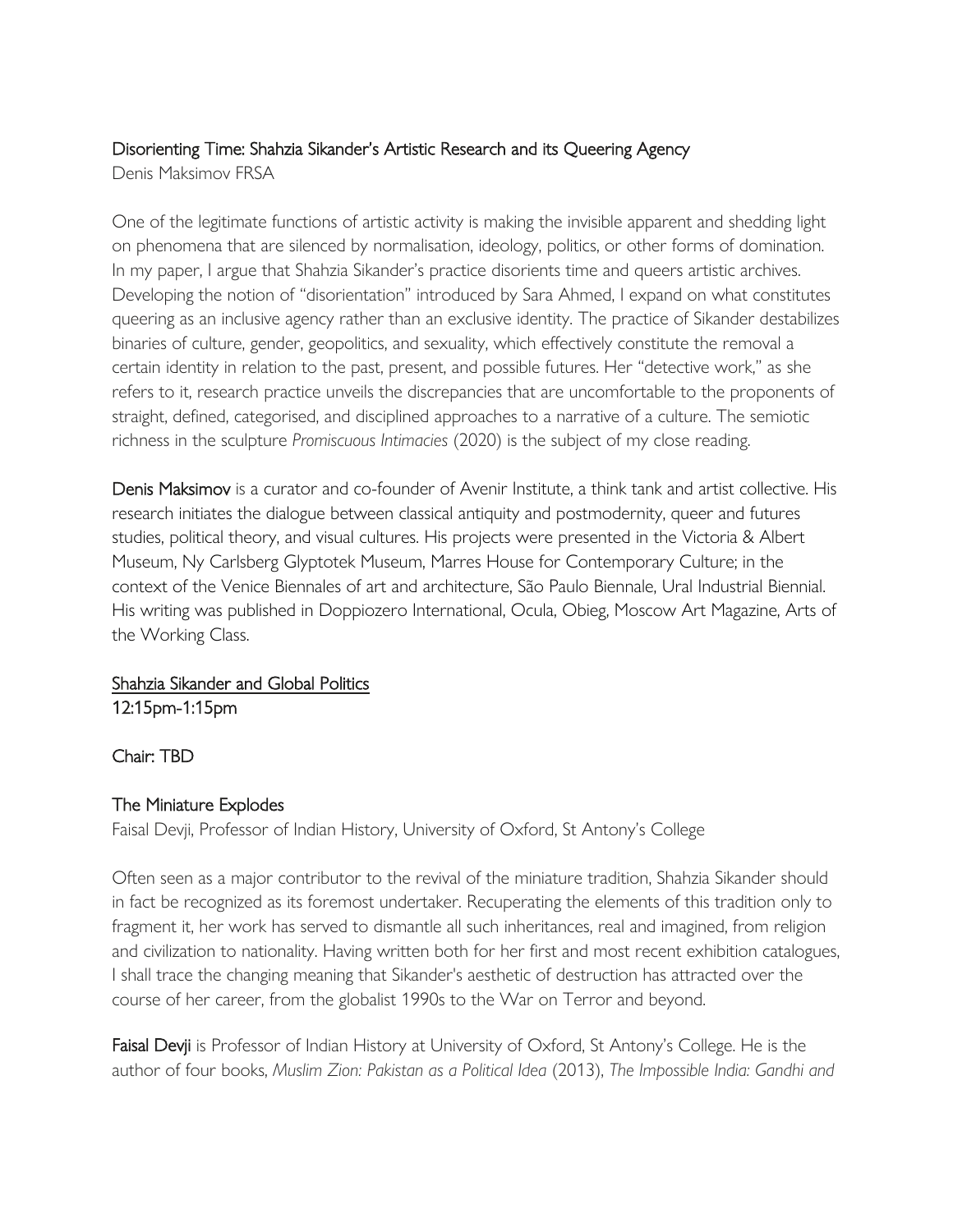# Disorienting Time: Shahzia Sikander's Artistic Research and its Queering Agency

Denis Maksimov FRSA

One of the legitimate functions of artistic activity is making the invisible apparent and shedding light on phenomena that are silenced by normalisation, ideology, politics, or other forms of domination. In my paper, I argue that Shahzia Sikander's practice disorients time and queers artistic archives. Developing the notion of "disorientation" introduced by Sara Ahmed, I expand on what constitutes queering as an inclusive agency rather than an exclusive identity. The practice of Sikander destabilizes binaries of culture, gender, geopolitics, and sexuality, which effectively constitute the removal a certain identity in relation to the past, present, and possible futures. Her "detective work," as she refers to it, research practice unveils the discrepancies that are uncomfortable to the proponents of straight, defined, categorised, and disciplined approaches to a narrative of a culture. The semiotic richness in the sculpture *Promiscuous Intimacies* (2020) is the subject of my close reading.

Denis Maksimov is a curator and co-founder of Avenir Institute, a think tank and artist collective. His research initiates the dialogue between classical antiquity and postmodernity, queer and futures studies, political theory, and visual cultures. His projects were presented in the Victoria & Albert Museum, Ny Carlsberg Glyptotek Museum, Marres House for Contemporary Culture; in the context of the Venice Biennales of art and architecture, São Paulo Biennale, Ural Industrial Biennial. His writing was published in Doppiozero International, Ocula, Obieg, Moscow Art Magazine, Arts of the Working Class.

# Shahzia Sikander and Global Politics

12:15pm-1:15pm

## Chair: TBD

# The Miniature Explodes

Faisal Devji, Professor of Indian History, University of Oxford, St Antony's College

Often seen as a major contributor to the revival of the miniature tradition, Shahzia Sikander should in fact be recognized as its foremost undertaker. Recuperating the elements of this tradition only to fragment it, her work has served to dismantle all such inheritances, real and imagined, from religion and civilization to nationality. Having written both for her first and most recent exhibition catalogues, I shall trace the changing meaning that Sikander's aesthetic of destruction has attracted over the course of her career, from the globalist 1990s to the War on Terror and beyond.

Faisal Devji is Professor of Indian History at University of Oxford, St Antony's College. He is the author of four books, *Muslim Zion: Pakistan as a Political Idea* (2013), *The Impossible India: Gandhi and*